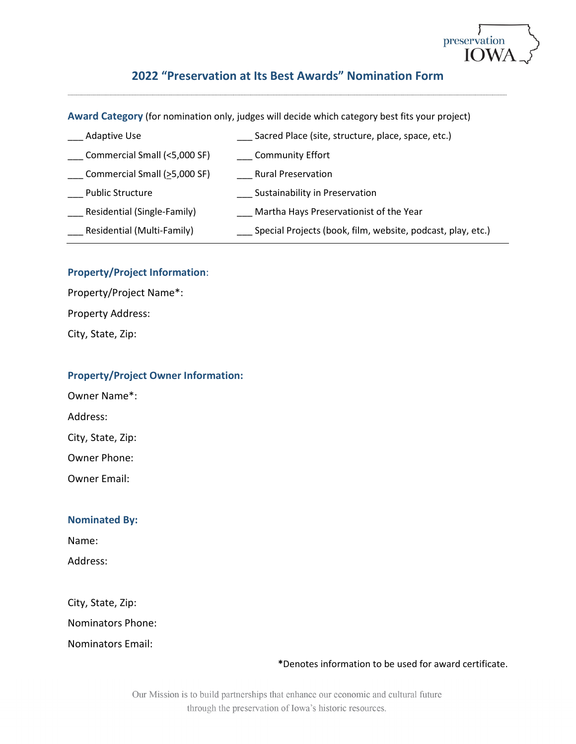

# **2022 "Preservation at Its Best Awards" Nomination Form**

-----------------------------------------------------------------------------------------------------------------------------------------------------------------------------------------------------------------------------------------------------------------------------------------------------------------

**Award Category** (for nomination only, judges will decide which category best fits your project)

| <b>Adaptive Use</b>          | Sacred Place (site, structure, place, space, etc.)          |
|------------------------------|-------------------------------------------------------------|
| Commercial Small (<5,000 SF) | Community Effort                                            |
| Commercial Small (>5,000 SF) | <b>Rural Preservation</b>                                   |
| <b>Public Structure</b>      | Sustainability in Preservation                              |
| Residential (Single-Family)  | Martha Hays Preservationist of the Year                     |
| Residential (Multi-Family)   | Special Projects (book, film, website, podcast, play, etc.) |
|                              |                                                             |

### **Property/Project Information**:

Property/Project Name\*: Property Address:

City, State, Zip:

### **Property/Project Owner Information:**

Owner Name\*:

Address:

City, State, Zip:

Owner Phone:

Owner Email:

### **Nominated By:**

Name:

Address:

City, State, Zip:

Nominators Phone:

Nominators Email:

### **\***Denotes information to be used for award certificate.

Our Mission is to build partnerships that enhance our economic and cultural future through the preservation of Iowa's historic resources.